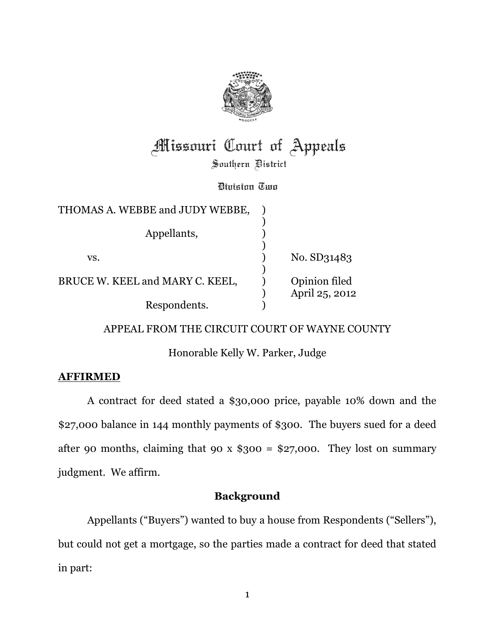

# **Missouri Court of Appeals**

Southern District

Division Two

| THOMAS A. WEBBE and JUDY WEBBE, |                                 |
|---------------------------------|---------------------------------|
|                                 |                                 |
| Appellants,                     |                                 |
| VS.                             | No. SD31483                     |
| BRUCE W. KEEL and MARY C. KEEL, | Opinion filed<br>April 25, 2012 |
| Respondents.                    |                                 |

APPEAL FROM THE CIRCUIT COURT OF WAYNE COUNTY

Honorable Kelly W. Parker, Judge

## AFFIRMED

A contract for deed stated a \$30,000 price, payable 10% down and the \$27,000 balance in 144 monthly payments of \$300. The buyers sued for a deed after 90 months, claiming that 90 x  $$300 = $27,000$ . They lost on summary judgment. We affirm.

## Background

Appellants ("Buyers") wanted to buy a house from Respondents ("Sellers"), but could not get a mortgage, so the parties made a contract for deed that stated in part: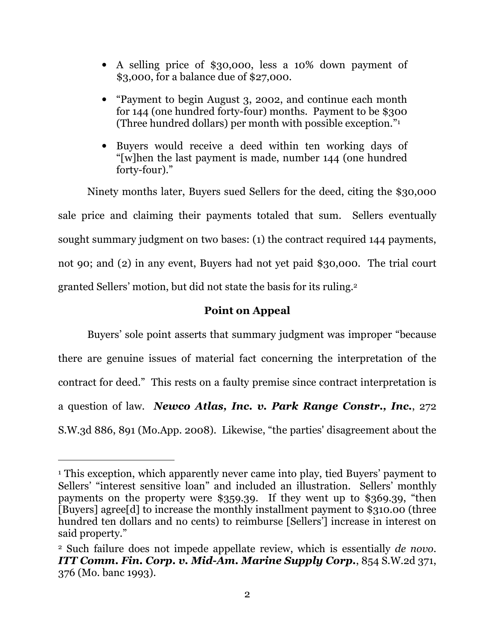- A selling price of \$30,000, less a 10% down payment of \$3,000, for a balance due of \$27,000.
- "Payment to begin August 3, 2002, and continue each month for 144 (one hundred forty-four) months. Payment to be \$300 (Three hundred dollars) per month with possible exception." 1
- Buyers would receive a deed within ten working days of "[w]hen the last payment is made, number 144 (one hundred forty-four)."

Ninety months later, Buyers sued Sellers for the deed, citing the \$30,000 sale price and claiming their payments totaled that sum. Sellers eventually sought summary judgment on two bases: (1) the contract required 144 payments, not 90; and (2) in any event, Buyers had not yet paid \$30,000. The trial court granted Sellers' motion, but did not state the basis for its ruling.<sup>2</sup>

## Point on Appeal

Buyers' sole point asserts that summary judgment was improper "because there are genuine issues of material fact concerning the interpretation of the contract for deed." This rests on a faulty premise since contract interpretation is a question of law. Newco Atlas, Inc. v. Park Range Constr., Inc., 272 S.W.3d 886, 891 (Mo.App. 2008). Likewise, "the parties' disagreement about the

l

<sup>1</sup> This exception, which apparently never came into play, tied Buyers' payment to Sellers' "interest sensitive loan" and included an illustration. Sellers' monthly payments on the property were \$359.39. If they went up to \$369.39, "then [Buyers] agree[d] to increase the monthly installment payment to \$310.00 (three hundred ten dollars and no cents) to reimburse [Sellers'] increase in interest on said property."

<sup>2</sup> Such failure does not impede appellate review, which is essentially de novo. ITT Comm. Fin. Corp. v. Mid-Am. Marine Supply Corp., 854 S.W.2d 371, 376 (Mo. banc 1993).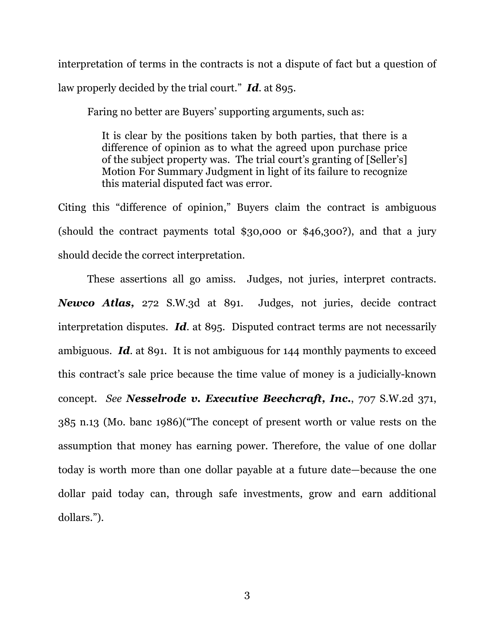interpretation of terms in the contracts is not a dispute of fact but a question of law properly decided by the trial court."  $\mathbf{Id}$  at 895.

Faring no better are Buyers' supporting arguments, such as:

It is clear by the positions taken by both parties, that there is a difference of opinion as to what the agreed upon purchase price of the subject property was. The trial court's granting of [Seller's] Motion For Summary Judgment in light of its failure to recognize this material disputed fact was error.

Citing this "difference of opinion," Buyers claim the contract is ambiguous (should the contract payments total \$30,000 or \$46,300?), and that a jury should decide the correct interpretation.

These assertions all go amiss. Judges, not juries, interpret contracts. Newco Atlas, 272 S.W.3d at 891. Judges, not juries, decide contract interpretation disputes. Id. at 895. Disputed contract terms are not necessarily ambiguous. Id. at 891. It is not ambiguous for 144 monthly payments to exceed this contract's sale price because the time value of money is a judicially-known concept. See Nesselrode v. Executive Beechcraft, Inc., 707 S.W.2d 371, 385 n.13 (Mo. banc 1986)("The concept of present worth or value rests on the assumption that money has earning power. Therefore, the value of one dollar today is worth more than one dollar payable at a future date—because the one dollar paid today can, through safe investments, grow and earn additional dollars.").